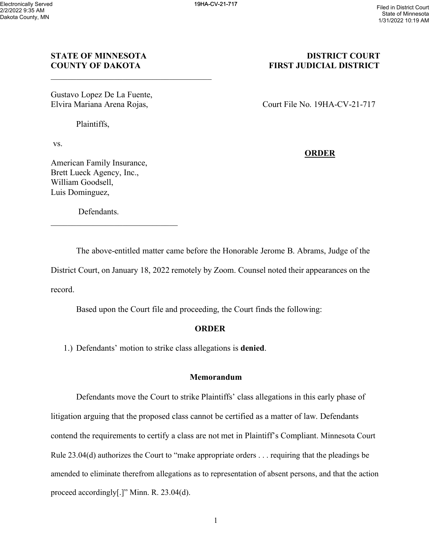## **STATE OF MINNESOTA** DISTRICT COURT **COUNTY OF DAKOTA FIRST JUDICIAL DISTRICT**

Gustavo Lopez De La Fuente,

Plaintiffs,

vs.

American Family Insurance, Brett Lueck Agency, Inc., William Goodsell, Luis Dominguez,

Defendants.

\_\_\_\_\_\_\_\_\_\_\_\_\_\_\_\_\_\_\_\_\_\_\_\_\_\_\_\_\_\_

Elvira Mariana Arena Rojas, Court File No. 19HA-CV-21-717

## **ORDER**

The above-entitled matter came before the Honorable Jerome B. Abrams, Judge of the District Court, on January 18, 2022 remotely by Zoom. Counsel noted their appearances on the record.

Based upon the Court file and proceeding, the Court finds the following:

### **ORDER**

1.) Defendants' motion to strike class allegations is **denied**.

#### **Memorandum**

Defendants move the Court to strike Plaintiffs' class allegations in this early phase of litigation arguing that the proposed class cannot be certified as a matter of law. Defendants contend the requirements to certify a class are not met in Plaintiff's Compliant. Minnesota Court Rule 23.04(d) authorizes the Court to "make appropriate orders . . . requiring that the pleadings be amended to eliminate therefrom allegations as to representation of absent persons, and that the action proceed accordingly[.]" Minn. R. 23.04(d).

1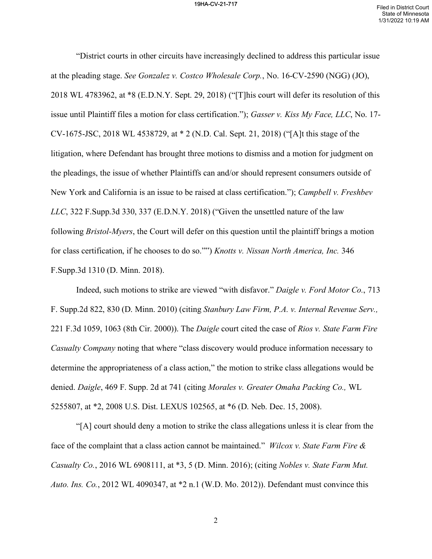# 19HA-CV-21-717 Filed in District Court

"District courts in other circuits have increasingly declined to address this particular issue at the pleading stage. *See Gonzalez v. Costco Wholesale Corp.*, No. 16-CV-2590 (NGG) (JO), 2018 WL 4783962, at \*8 (E.D.N.Y. Sept. 29, 2018) ("[T]his court will defer its resolution of this issue until Plaintiff files a motion for class certification."); *Gasser v. Kiss My Face, LLC*, No. 17- CV-1675-JSC, 2018 WL 4538729, at \* 2 (N.D. Cal. Sept. 21, 2018) ("[A]t this stage of the litigation, where Defendant has brought three motions to dismiss and a motion for judgment on the pleadings, the issue of whether Plaintiffs can and/or should represent consumers outside of New York and California is an issue to be raised at class certification."); *Campbell v. Freshbev LLC*, 322 F.Supp.3d 330, 337 (E.D.N.Y. 2018) ("Given the unsettled nature of the law following *Bristol-Myers*, the Court will defer on this question until the plaintiff brings a motion for class certification, if he chooses to do so."") *Knotts v. Nissan North America, Inc.* 346 F.Supp.3d 1310 (D. Minn. 2018).

Indeed, such motions to strike are viewed "with disfavor." *Daigle v. Ford Motor Co.*, 713 F. Supp.2d 822, 830 (D. Minn. 2010) (citing *Stanbury Law Firm, P.A. v. Internal Revenue Serv.,*  221 F.3d 1059, 1063 (8th Cir. 2000)). The *Daigle* court cited the case of *Rios v. State Farm Fire Casualty Company* noting that where "class discovery would produce information necessary to determine the appropriateness of a class action," the motion to strike class allegations would be denied. *Daigle*, 469 F. Supp. 2d at 741 (citing *Morales v. Greater Omaha Packing Co.,* WL 5255807, at \*2, 2008 U.S. Dist. LEXUS 102565, at \*6 (D. Neb. Dec. 15, 2008).

"[A] court should deny a motion to strike the class allegations unless it is clear from the face of the complaint that a class action cannot be maintained." *Wilcox v. State Farm Fire & Casualty Co.*, 2016 WL 6908111, at \*3, 5 (D. Minn. 2016); (citing *Nobles v. State Farm Mut. Auto. Ins. Co.*, 2012 WL 4090347, at \*2 n.1 (W.D. Mo. 2012)). Defendant must convince this